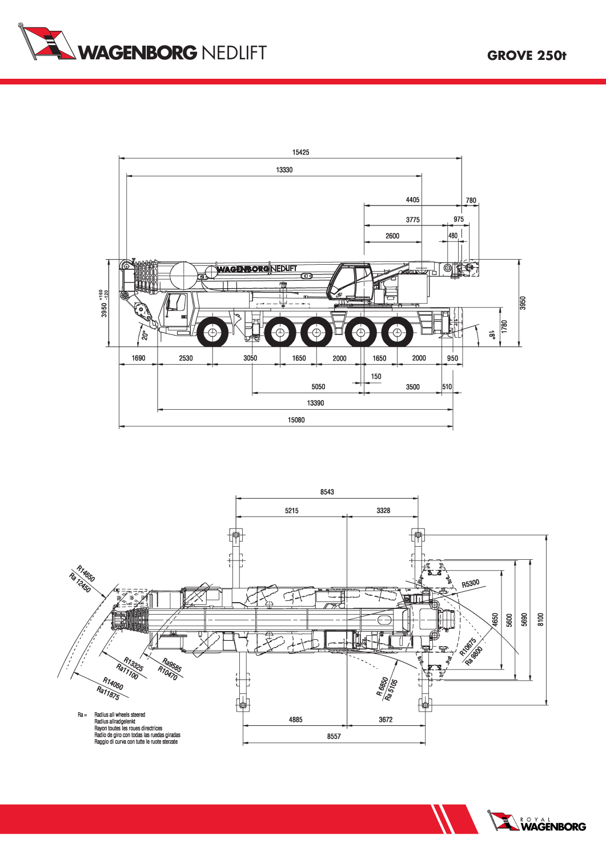





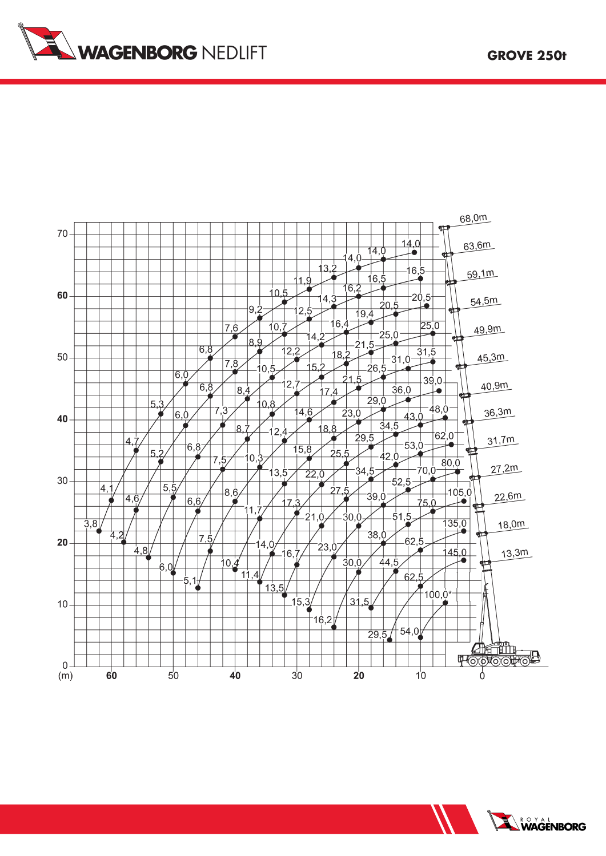



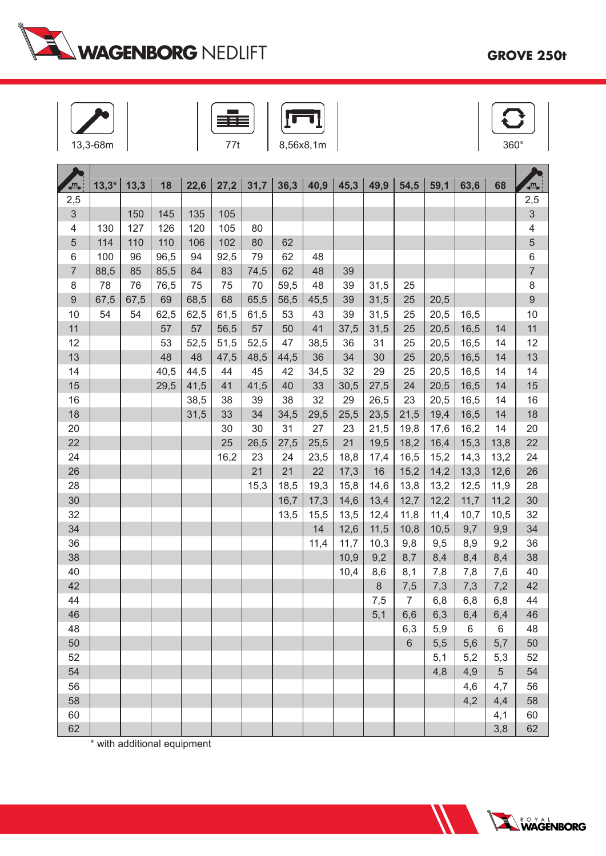

| 38m |  |
|-----|--|





|                  | $13,3*$ | 13,3 | 18   | 22,6 |      | 31,7 | 36,3 | 40,9 | 45,3 | 49,9 | 54,5           | 59,1 | 63,6 | 68   |                                |
|------------------|---------|------|------|------|------|------|------|------|------|------|----------------|------|------|------|--------------------------------|
| {℡<br>2,5        |         |      |      |      | 27,2 |      |      |      |      |      |                |      |      |      | $\overline{\mathbb{F}}$<br>2,5 |
| $\mathfrak{S}$   |         | 150  | 145  | 135  | 105  |      |      |      |      |      |                |      |      |      | 3                              |
| 4                | 130     | 127  | 126  | 120  | 105  | 80   |      |      |      |      |                |      |      |      | 4                              |
| $\sqrt{5}$       | 114     | 110  | 110  | 106  | 102  | 80   | 62   |      |      |      |                |      |      |      | 5                              |
| 6                | 100     | 96   | 96,5 | 94   | 92,5 | 79   | 62   | 48   |      |      |                |      |      |      | 6                              |
| $\overline{7}$   | 88,5    | 85   | 85,5 | 84   | 83   | 74,5 | 62   | 48   | 39   |      |                |      |      |      | $\overline{7}$                 |
| 8                | 78      | 76   | 76,5 | 75   | 75   | 70   | 59,5 | 48   | 39   | 31,5 | 25             |      |      |      | 8                              |
| $\boldsymbol{9}$ | 67,5    | 67,5 | 69   | 68,5 | 68   | 65,5 | 56,5 | 45,5 | 39   | 31,5 | 25             | 20,5 |      |      | $\overline{9}$                 |
| 10               | 54      | 54   | 62,5 | 62,5 | 61,5 | 61,5 | 53   | 43   | 39   | 31,5 | 25             | 20,5 | 16,5 |      | 10                             |
| 11               |         |      | 57   | 57   | 56,5 | 57   | 50   | 41   | 37,5 | 31,5 | 25             | 20,5 | 16,5 | 14   | 11                             |
| 12               |         |      | 53   | 52,5 | 51,5 | 52,5 | 47   | 38,5 | 36   | 31   | 25             | 20,5 | 16,5 | 14   | 12                             |
| 13               |         |      | 48   | 48   | 47,5 | 48,5 | 44,5 | 36   | 34   | 30   | 25             | 20,5 | 16,5 | 14   | 13                             |
| 14               |         |      | 40,5 | 44,5 | 44   | 45   | 42   | 34,5 | 32   | 29   | 25             | 20,5 | 16,5 | 14   | 14                             |
| 15               |         |      | 29,5 | 41,5 | 41   | 41,5 | 40   | 33   | 30,5 | 27,5 | 24             | 20,5 | 16,5 | 14   | 15                             |
| 16               |         |      |      | 38,5 | 38   | 39   | 38   | 32   | 29   | 26,5 | 23             | 20,5 | 16,5 | 14   | 16                             |
| 18               |         |      |      | 31,5 | 33   | 34   | 34,5 | 29,5 | 25,5 | 23,5 | 21,5           | 19,4 | 16,5 | 14   | 18                             |
| 20               |         |      |      |      | 30   | 30   | 31   | 27   | 23   | 21,5 | 19,8           | 17,6 | 16,2 | 14   | 20                             |
| 22               |         |      |      |      | 25   | 26,5 | 27,5 | 25,5 | 21   | 19,5 | 18,2           | 16,4 | 15,3 | 13,8 | 22                             |
| 24               |         |      |      |      | 16,2 | 23   | 24   | 23,5 | 18,8 | 17,4 | 16,5           | 15,2 | 14,3 | 13,2 | 24                             |
| 26               |         |      |      |      |      | 21   | 21   | 22   | 17,3 | 16   | 15,2           | 14,2 | 13,3 | 12,6 | 26                             |
| 28               |         |      |      |      |      | 15,3 | 18,5 | 19,3 | 15,8 | 14,6 | 13,8           | 13,2 | 12,5 | 11,9 | 28                             |
| 30               |         |      |      |      |      |      | 16,7 | 17,3 | 14,6 | 13,4 | 12,7           | 12,2 | 11,7 | 11,2 | 30                             |
| 32               |         |      |      |      |      |      | 13,5 | 15,5 | 13,5 | 12,4 | 11,8           | 11,4 | 10,7 | 10,5 | 32                             |
| 34               |         |      |      |      |      |      |      | 14   | 12,6 | 11,5 | 10,8           | 10,5 | 9,7  | 9,9  | 34                             |
| 36               |         |      |      |      |      |      |      | 11,4 | 11,7 | 10,3 | 9,8            | 9,5  | 8,9  | 9,2  | 36                             |
| 38               |         |      |      |      |      |      |      |      | 10,9 | 9,2  | 8,7            | 8,4  | 8,4  | 8,4  | 38                             |
| 40               |         |      |      |      |      |      |      |      | 10,4 | 8,6  | 8,1            | 7,8  | 7,8  | 7,6  | 40                             |
| 42               |         |      |      |      |      |      |      |      |      | 8    | 7,5            | 7,3  | 7,3  | 7,2  | 42                             |
| 44               |         |      |      |      |      |      |      |      |      | 7,5  | $\overline{7}$ | 6,8  | 6,8  | 6,8  | 44                             |
| 46               |         |      |      |      |      |      |      |      |      | 5,1  | 6,6            | 6,3  | 6,4  | 6,4  | 46                             |
| 48               |         |      |      |      |      |      |      |      |      |      | 6,3            | 5,9  | 6    | 6    | 48                             |
| 50               |         |      |      |      |      |      |      |      |      |      | $6\phantom{1}$ | 5,5  | 5,6  | 5,7  | 50                             |
| 52               |         |      |      |      |      |      |      |      |      |      |                | 5,1  | 5,2  | 5,3  | 52                             |
| 54               |         |      |      |      |      |      |      |      |      |      |                | 4,8  | 4,9  | 5    | 54                             |
| 56               |         |      |      |      |      |      |      |      |      |      |                |      | 4,6  | 4,7  | 56                             |
| 58               |         |      |      |      |      |      |      |      |      |      |                |      | 4,2  | 4,4  | 58                             |
| 60               |         |      |      |      |      |      |      |      |      |      |                |      |      | 4,1  | 60                             |
| 62               |         |      |      |      |      |      |      |      |      |      |                |      |      | 3,8  | 62                             |

\* with additional equipment

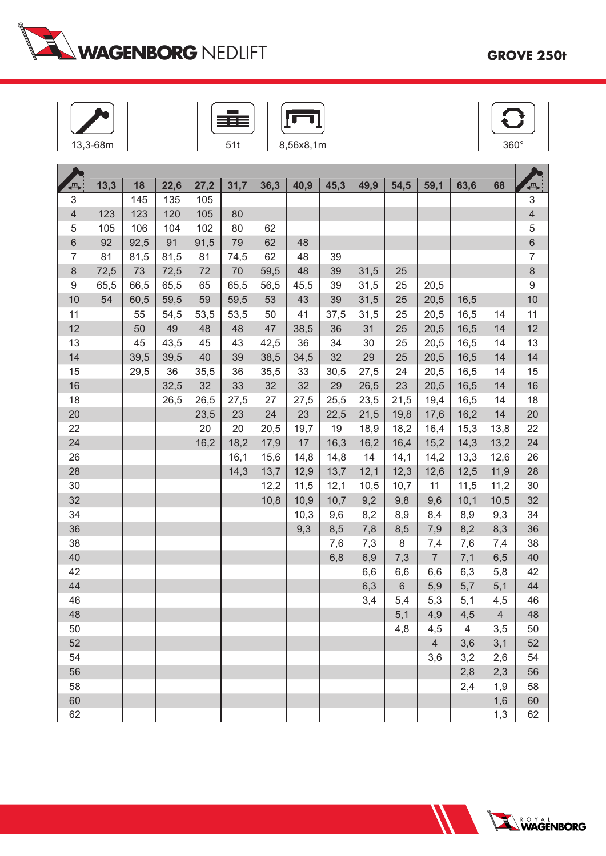

| 68m |  |
|-----|--|





| 冎                        | 13,3 | 18   | 22,6 | 27,2 | 31,7 | 36,3 | 40,9 | 45,3 | 49,9 | 54,5    | 59,1           | 63,6 | 68             | $\blacksquare$   |
|--------------------------|------|------|------|------|------|------|------|------|------|---------|----------------|------|----------------|------------------|
| 3                        |      | 145  | 135  | 105  |      |      |      |      |      |         |                |      |                | $\overline{3}$   |
| $\overline{\mathcal{L}}$ | 123  | 123  | 120  | 105  | 80   |      |      |      |      |         |                |      |                | $\overline{4}$   |
| 5                        | 105  | 106  | 104  | 102  | 80   | 62   |      |      |      |         |                |      |                | $\sqrt{5}$       |
| 6                        | 92   | 92,5 | 91   | 91,5 | 79   | 62   | 48   |      |      |         |                |      |                | 6                |
| $\overline{7}$           | 81   | 81,5 | 81,5 | 81   | 74,5 | 62   | 48   | 39   |      |         |                |      |                | $\overline{7}$   |
| $\,8\,$                  | 72,5 | 73   | 72,5 | 72   | 70   | 59,5 | 48   | 39   | 31,5 | 25      |                |      |                | $\,8\,$          |
| 9                        | 65,5 | 66,5 | 65,5 | 65   | 65,5 | 56,5 | 45,5 | 39   | 31,5 | 25      | 20,5           |      |                | $\boldsymbol{9}$ |
| 10                       | 54   | 60,5 | 59,5 | 59   | 59,5 | 53   | 43   | 39   | 31,5 | 25      | 20,5           | 16,5 |                | 10               |
| 11                       |      | 55   | 54,5 | 53,5 | 53,5 | 50   | 41   | 37,5 | 31,5 | 25      | 20,5           | 16,5 | 14             | 11               |
| 12                       |      | 50   | 49   | 48   | 48   | 47   | 38,5 | 36   | 31   | 25      | 20,5           | 16,5 | 14             | 12               |
| 13                       |      | 45   | 43,5 | 45   | 43   | 42,5 | 36   | 34   | 30   | 25      | 20,5           | 16,5 | 14             | 13               |
| 14                       |      | 39,5 | 39,5 | 40   | 39   | 38,5 | 34,5 | 32   | 29   | 25      | 20,5           | 16,5 | 14             | 14               |
| 15                       |      | 29,5 | 36   | 35,5 | 36   | 35,5 | 33   | 30,5 | 27,5 | 24      | 20,5           | 16,5 | 14             | 15               |
| 16                       |      |      | 32,5 | 32   | 33   | 32   | 32   | 29   | 26,5 | 23      | 20,5           | 16,5 | 14             | 16               |
| 18                       |      |      | 26,5 | 26,5 | 27,5 | 27   | 27,5 | 25,5 | 23,5 | 21,5    | 19,4           | 16,5 | 14             | 18               |
| 20                       |      |      |      | 23,5 | 23   | 24   | 23   | 22,5 | 21,5 | 19,8    | 17,6           | 16,2 | 14             | 20               |
| 22                       |      |      |      | 20   | 20   | 20,5 | 19,7 | 19   | 18,9 | 18,2    | 16,4           | 15,3 | 13,8           | 22               |
| 24                       |      |      |      | 16,2 | 18,2 | 17,9 | 17   | 16,3 | 16,2 | 16,4    | 15,2           | 14,3 | 13,2           | 24               |
| 26                       |      |      |      |      | 16,1 | 15,6 | 14,8 | 14,8 | 14   | 14,1    | 14,2           | 13,3 | 12,6           | 26               |
| 28                       |      |      |      |      | 14,3 | 13,7 | 12,9 | 13,7 | 12,1 | 12,3    | 12,6           | 12,5 | 11,9           | 28               |
| 30                       |      |      |      |      |      | 12,2 | 11,5 | 12,1 | 10,5 | 10,7    | 11             | 11,5 | 11,2           | 30               |
| 32                       |      |      |      |      |      | 10,8 | 10,9 | 10,7 | 9,2  | 9,8     | 9,6            | 10,1 | 10,5           | 32               |
| 34                       |      |      |      |      |      |      | 10,3 | 9,6  | 8,2  | 8,9     | 8,4            | 8,9  | 9,3            | 34               |
| 36                       |      |      |      |      |      |      | 9,3  | 8,5  | 7,8  | 8,5     | 7,9            | 8,2  | 8,3            | 36               |
| 38                       |      |      |      |      |      |      |      | 7,6  | 7,3  | 8       | 7,4            | 7,6  | 7,4            | 38               |
| 40                       |      |      |      |      |      |      |      | 6,8  | 6,9  | 7,3     | $\overline{7}$ | 7,1  | 6,5            | 40               |
| 42                       |      |      |      |      |      |      |      |      | 6,6  | 6,6     | 6,6            | 6,3  | 5,8            | 42               |
| 44                       |      |      |      |      |      |      |      |      | 6,3  | $\,6\,$ | 5,9            | 5,7  | 5,1            | 44               |
| 46                       |      |      |      |      |      |      |      |      | 3,4  | 5,4     | 5,3            | 5,1  | 4,5            | 46               |
| 48                       |      |      |      |      |      |      |      |      |      | 5,1     | 4,9            | 4,5  | $\overline{4}$ | 48               |
| 50                       |      |      |      |      |      |      |      |      |      | 4,8     | 4,5            | 4    | 3,5            | 50               |
| 52                       |      |      |      |      |      |      |      |      |      |         | $\overline{4}$ | 3,6  | 3,1            | 52               |
| 54                       |      |      |      |      |      |      |      |      |      |         | 3,6            | 3,2  | 2,6            | 54               |
| 56                       |      |      |      |      |      |      |      |      |      |         |                | 2,8  | 2,3            | 56               |
| 58                       |      |      |      |      |      |      |      |      |      |         |                | 2,4  | 1,9            | 58               |
| 60                       |      |      |      |      |      |      |      |      |      |         |                |      | 1,6            | 60               |
| 62                       |      |      |      |      |      |      |      |      |      |         |                |      | 1,3            | 62               |

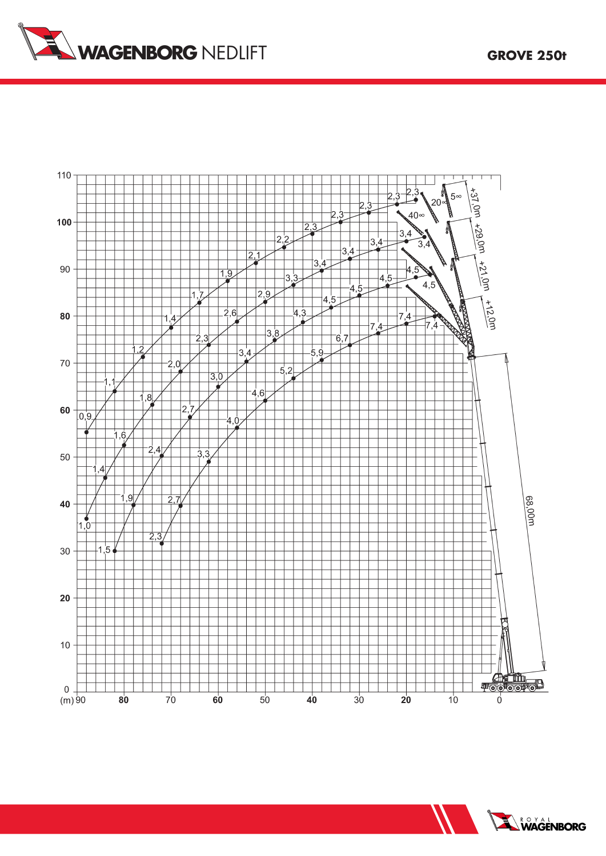





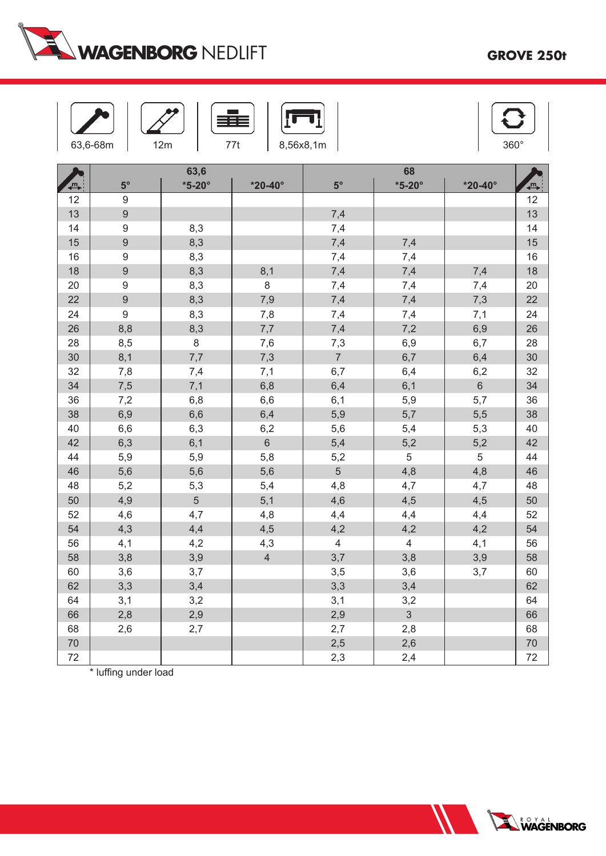

|        | 63,6-68m         | 12m                   | 77t                | 8,56x8,1m               |                     |                    | 360°           |
|--------|------------------|-----------------------|--------------------|-------------------------|---------------------|--------------------|----------------|
| {℡     | $5^{\circ}$      | 63,6<br>$*5-20^\circ$ | $*20 - 40^{\circ}$ | $5^{\circ}$             | 68<br>$*5-20^\circ$ | $*20 - 40^{\circ}$ | $\blacksquare$ |
| 12     | $\boldsymbol{9}$ |                       |                    |                         |                     |                    | 12             |
| 13     | $\hbox{9}$       |                       |                    | 7,4                     |                     |                    | 13             |
| 14     | $\boldsymbol{9}$ | 8,3                   |                    | 7,4                     |                     |                    | 14             |
| 15     | $\hbox{9}$       | 8,3                   |                    | 7,4                     | 7,4                 |                    | 15             |
| 16     | $\boldsymbol{9}$ | 8,3                   |                    | 7,4                     | 7,4                 |                    | 16             |
| 18     | $\boldsymbol{9}$ | 8,3                   | 8,1                | 7,4                     | 7,4                 | 7,4                | 18             |
| 20     | $\boldsymbol{9}$ | 8,3                   | 8                  | 7,4                     | 7,4                 | 7,4                | 20             |
| 22     | $\boldsymbol{9}$ | 8,3                   | 7,9                | 7,4                     | 7,4                 | 7,3                | 22             |
| 24     | 9                | 8,3                   | 7,8                | 7,4                     | 7,4                 | 7,1                | 24             |
| 26     | 8,8              | 8,3                   | $7,\!7$            | 7,4                     | 7,2                 | 6,9                | 26             |
| 28     | 8,5              | 8                     | 7,6                | 7,3                     | 6,9                 | 6,7                | 28             |
| 30     | 8,1              | 7,7                   | 7,3                | $\overline{7}$          | 6,7                 | 6,4                | 30             |
| 32     | 7,8              | 7,4                   | 7,1                | 6,7                     | 6,4                 | 6,2                | 32             |
| 34     | 7,5              | 7,1                   | 6,8                | 6,4                     | 6,1                 | $\,6\,$            | 34             |
| 36     | 7,2              | 6,8                   | 6,6                | 6,1                     | 5,9                 | 5,7                | 36             |
| 38     | 6,9              | 6,6                   | 6,4                | 5,9                     | 5,7                 | 5,5                | 38             |
| 40     | 6,6              | 6,3                   | 6,2                | 5,6                     | 5,4                 | 5,3                | 40             |
| 42     | 6,3              | 6,1                   | $6\phantom{a}$     | 5,4                     | 5,2                 | 5,2                | 42             |
| 44     | 5,9              | 5,9                   | 5,8                | 5,2                     | 5                   | 5                  | 44             |
| 46     | 5,6              | 5,6                   | 5,6                | $\overline{5}$          | 4,8                 | 4,8                | 46             |
| 48     | 5,2              | 5,3                   | 5,4                | 4,8                     | 4,7                 | 4,7                | 48             |
| 50     | 4,9              | $\overline{5}$        | 5,1                | 4,6                     | 4,5                 | 4,5                | 50             |
| 52     | 4,6              | 4,7                   | 4,8                | 4,4                     | 4,4                 | 4,4                | 52             |
| 54     | 4,3              | 4,4                   | 4,5                | 4,2                     | 4,2                 | 4,2                | 54             |
| 56     | 4,1              | 4,2                   | 4,3                | $\overline{\mathbf{4}}$ | $\overline{4}$      | 4,1                | 56             |
| 58     | 3,8              | 3,9                   | $\overline{4}$     | 3,7                     | 3,8                 | 3,9                | 58             |
| 60     | 3,6              | 3,7                   |                    | 3,5                     | 3,6                 | 3,7                | 60             |
| 62     | 3,3              | 3,4                   |                    | 3,3                     | 3,4                 |                    | 62             |
| 64     | 3,1              | 3,2                   |                    | 3,1                     | 3,2                 |                    | 64             |
| 66     | 2,8              | 2,9                   |                    | 2,9                     | $\mathfrak{S}$      |                    | 66             |
| 68     | 2,6              | 2,7                   |                    | 2,7                     | 2,8                 |                    | 68             |
| $70\,$ |                  |                       |                    | 2,5                     | 2,6                 |                    | 70             |
| 72     |                  |                       |                    | 2,3                     | 2,4                 |                    | 72             |

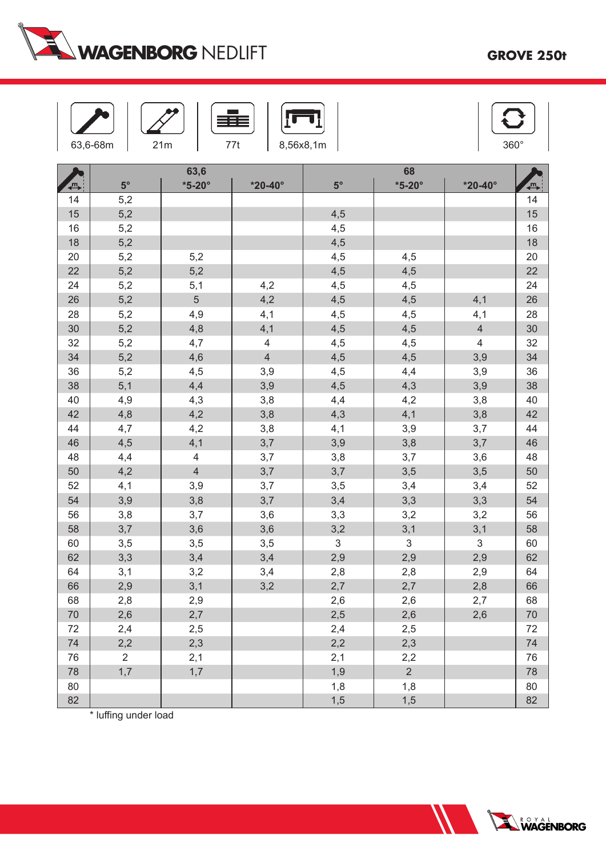

|    | 63,6-68m       | 21m            | 77t                      | 8,56x8,1m                 |                |                           | 360°           |
|----|----------------|----------------|--------------------------|---------------------------|----------------|---------------------------|----------------|
|    |                | 63,6           |                          |                           | 68             |                           |                |
| {℡ | $5^{\circ}$    | $*5-20^\circ$  | $*20 - 40^{\circ}$       | $5^{\circ}$               | $*5-20^\circ$  | $*20 - 40^{\circ}$        | $\blacksquare$ |
| 14 | 5,2            |                |                          |                           |                |                           | 14             |
| 15 | 5,2            |                |                          | 4,5                       |                |                           | 15             |
| 16 | 5,2            |                |                          | 4,5                       |                |                           | 16             |
| 18 | 5,2            |                |                          | 4,5                       |                |                           | 18             |
| 20 | 5,2            | 5,2            |                          | 4,5                       | 4,5            |                           | 20             |
| 22 | 5,2            | 5,2            |                          | 4,5                       | 4,5            |                           | 22             |
| 24 | 5,2            | 5,1            | 4,2                      | 4,5                       | 4,5            |                           | 24             |
| 26 | 5,2            | $\overline{5}$ | 4,2                      | 4,5                       | 4,5            | 4,1                       | 26             |
| 28 | 5,2            | 4,9            | 4,1                      | 4,5                       | 4,5            | 4,1                       | 28             |
| 30 | 5,2            | 4,8            | 4,1                      | 4,5                       | 4,5            | $\overline{4}$            | $30\,$         |
| 32 | 5,2            | 4,7            | $\overline{\mathcal{L}}$ | 4,5                       | 4,5            | $\overline{\mathbf{4}}$   | 32             |
| 34 | 5,2            | 4,6            | $\overline{4}$           | 4,5                       | 4,5            | 3,9                       | 34             |
| 36 | 5,2            | 4,5            | 3,9                      | 4,5                       | 4,4            | 3,9                       | 36             |
| 38 | 5,1            | 4,4            | 3,9                      | 4,5                       | 4,3            | 3,9                       | 38             |
| 40 | 4,9            | 4,3            | 3,8                      | 4,4                       | 4,2            | 3,8                       | 40             |
| 42 | 4,8            | 4,2            | 3,8                      | 4,3                       | 4,1            | 3,8                       | 42             |
| 44 | 4,7            | 4,2            | 3,8                      | 4,1                       | 3,9            | 3,7                       | 44             |
| 46 | 4,5            | 4,1            | 3,7                      | 3,9                       | 3,8            | 3,7                       | 46             |
| 48 | 4,4            | $\overline{4}$ | 3,7                      | 3,8                       | 3,7            | 3,6                       | 48             |
| 50 | 4,2            | $\overline{4}$ | 3,7                      | 3,7                       | 3,5            | 3,5                       | 50             |
| 52 | 4,1            | 3,9            | 3,7                      | 3,5                       | 3,4            | 3,4                       | 52             |
| 54 | 3,9            | 3,8            | 3,7                      | 3,4                       | 3,3            | 3,3                       | 54             |
| 56 | 3,8            | 3,7            | 3,6                      | 3,3                       | 3,2            | 3,2                       | 56             |
| 58 | 3,7            | 3,6            | 3,6                      | 3,2                       | 3,1            | 3,1                       | 58             |
| 60 | 3,5            | 3,5            | 3,5                      | $\ensuremath{\mathsf{3}}$ | 3              | $\ensuremath{\mathsf{3}}$ | 60             |
| 62 | 3,3            | 3,4            | 3,4                      | 2,9                       | 2,9            | 2,9                       | 62             |
| 64 | 3,1            | 3,2            | 3,4                      | 2,8                       | 2,8            | 2,9                       | 64             |
| 66 | 2,9            | 3,1            | 3,2                      | 2,7                       | 2,7            | 2,8                       | 66             |
| 68 | 2,8            | 2,9            |                          | 2,6                       | 2,6            | 2,7                       | 68             |
| 70 | 2,6            | 2,7            |                          | 2,5                       | 2,6            | 2,6                       | $70\,$         |
| 72 | 2,4            | 2,5            |                          | 2,4                       | 2,5            |                           | 72             |
| 74 | 2,2            | 2,3            |                          | 2,2                       | 2,3            |                           | 74             |
| 76 | $\overline{2}$ | 2,1            |                          | 2,1                       | 2,2            |                           | 76             |
| 78 | 1,7            | 1,7            |                          | 1,9                       | $\overline{2}$ |                           | 78             |
| 80 |                |                |                          | 1,8                       | 1,8            |                           | 80             |
| 82 |                |                |                          | 1,5                       | 1,5            |                           | 82             |

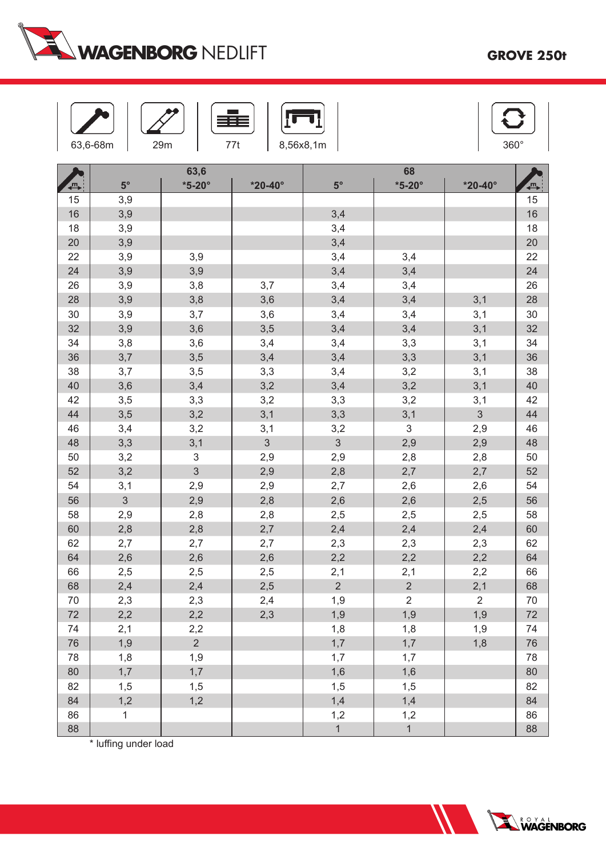

|          | 63,6-68m     | 29m                            | 77t                | 8,56x8,1m             |                       |                    | 360°     |
|----------|--------------|--------------------------------|--------------------|-----------------------|-----------------------|--------------------|----------|
|          |              | 63,6                           |                    |                       | 68                    |                    |          |
| 冎        | $5^{\circ}$  | $*5-20^\circ$                  | $*20 - 40^{\circ}$ | $5^{\circ}$           | $*5-20^\circ$         | $*20 - 40^{\circ}$ | ,<br>—   |
| 15       | 3,9          |                                |                    |                       |                       |                    | 15       |
| 16       | 3,9          |                                |                    | 3,4                   |                       |                    | 16       |
| 18       | 3,9          |                                |                    | 3,4                   |                       |                    | 18       |
| 20       | 3,9          |                                |                    | 3,4                   |                       |                    | 20       |
| 22       | 3,9          | 3,9                            |                    | 3,4                   | 3,4                   |                    | 22       |
| 24       | 3,9          | 3,9                            |                    | 3,4                   | 3,4                   |                    | 24       |
| 26       | 3,9          | 3,8                            | 3,7                | 3,4                   | 3,4                   |                    | 26       |
| 28       | 3,9          | 3,8                            | 3,6                | 3,4                   | 3,4                   | 3,1                | 28       |
| 30       | 3,9          | 3,7                            | 3,6                | 3,4                   | 3,4                   | 3,1                | 30       |
| 32       | 3,9          | 3,6                            | 3,5                | 3,4                   | 3,4                   | 3,1                | 32       |
| 34       | 3,8          | 3,6                            | 3,4                | 3,4                   | 3,3                   | 3,1                | 34       |
| 36       | 3,7          | 3,5                            | 3,4                | 3,4                   | 3,3                   | 3,1                | 36       |
| 38       | 3,7          | 3,5                            | 3,3                | 3,4                   | 3,2                   | 3,1                | 38       |
| 40       | 3,6          | 3,4                            | 3,2                | 3,4                   | 3,2                   | 3,1                | 40       |
| 42       | 3,5          | 3,3                            | 3,2                | 3,3                   | 3,2                   | 3,1                | 42       |
| 44       | 3,5          | 3,2                            | 3,1                | 3,3                   | 3,1                   | $\mathfrak{S}$     | 44       |
| 46       | 3,4          | 3,2                            | 3,1                | 3,2<br>$\mathfrak{S}$ | $\mathsf 3$           | 2,9                | 46       |
| 48       | 3,3          | 3,1                            | $\mathfrak{S}$     |                       | 2,9                   | 2,9                | 48       |
| 50       | 3,2          | $\ensuremath{\mathsf{3}}$<br>3 | 2,9                | 2,9                   | 2,8                   | 2,8                | 50       |
| 52       | 3,2          |                                | 2,9                | 2,8                   | 2,7                   | 2,7                | 52       |
| 54<br>56 | 3,1<br>3     | 2,9                            | 2,9                | 2,7                   | 2,6                   | 2,6                | 54<br>56 |
|          |              | 2,9                            | 2,8                | 2,6                   | 2,6                   | 2,5                |          |
| 58<br>60 | 2,9          | 2,8                            | 2,8                | 2,5                   | 2,5                   | 2,5                | 58       |
|          | 2,8          | 2,8                            | 2,7                | 2,4                   | 2,4                   | 2,4                | 60       |
| 62<br>64 | 2,7          | 2,7                            | 2,7                | 2,3                   | 2,3                   | 2,3                | 62<br>64 |
|          | 2,6          | 2,6                            | 2,6                | 2,2                   | 2,2                   | 2,2                | 66       |
| 66<br>68 | 2,5<br>2,4   | 2,5<br>2,4                     | 2,5<br>2,5         | 2,1<br>$\overline{2}$ | 2,1<br>$\overline{2}$ | 2,2<br>2,1         | 68       |
| 70       |              |                                |                    |                       | $\overline{2}$        | $\overline{2}$     | 70       |
| 72       | 2,3          | 2,3                            | 2,4                | 1,9                   |                       |                    |          |
|          | 2,2          | 2,2                            | 2,3                | 1,9                   | 1,9                   | 1,9                | 72       |
| 74       | 2,1          | 2,2<br>$\overline{2}$          |                    | 1,8                   | 1,8                   | 1,9                | 74       |
| 76       | 1,9          |                                |                    | 1,7                   | 1,7                   | 1,8                | 76       |
| 78       | 1,8          | 1,9                            |                    | 1,7                   | 1,7                   |                    | 78       |
| 80       | 1,7          | 1,7                            |                    | 1,6                   | 1,6                   |                    | 80       |
| 82       | 1,5          | 1,5                            |                    | 1,5                   | 1,5                   |                    | 82       |
| 84       | 1,2          | 1,2                            |                    | 1,4                   | 1,4                   |                    | 84       |
| 86<br>88 | $\mathbf{1}$ |                                |                    | 1,2<br>$\mathbf{1}$   | 1,2<br>$\mathbf{1}$   |                    | 86       |
|          |              |                                |                    |                       |                       |                    | 88       |